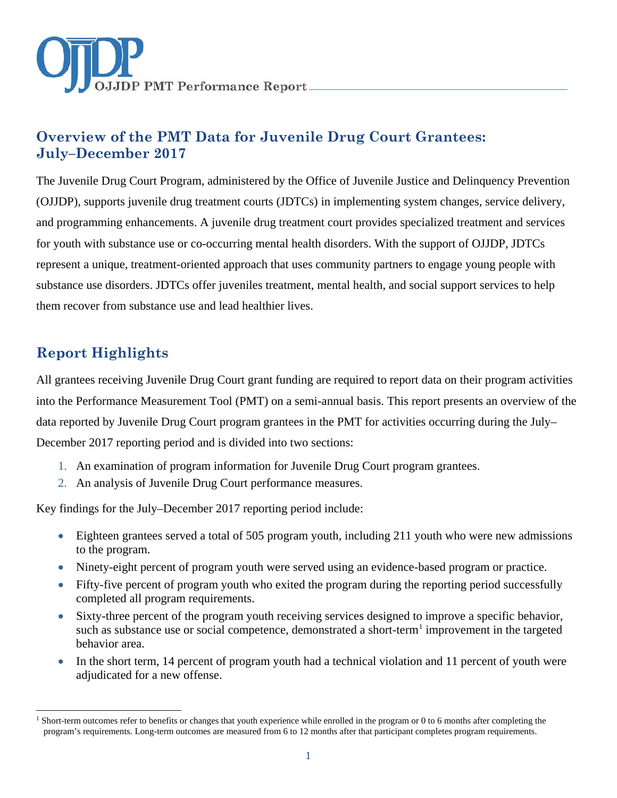

# **Overview of the PMT Data for Juvenile Drug Court Grantees: July–December 2017**

The Juvenile Drug Court Program, administered by the Office of Juvenile Justice and Delinquency Prevention (OJJDP), supports juvenile drug treatment courts (JDTCs) in implementing system changes, service delivery, and programming enhancements. A juvenile drug treatment court provides specialized treatment and services for youth with substance use or co-occurring mental health disorders. With the support of OJJDP, JDTCs represent a unique, treatment-oriented approach that uses community partners to engage young people with substance use disorders. JDTCs offer juveniles treatment, mental health, and social support services to help them recover from substance use and lead healthier lives.

# **Report Highlights**

All grantees receiving Juvenile Drug Court grant funding are required to report data on their program activities into the Performance Measurement Tool (PMT) on a semi-annual basis. This report presents an overview of the data reported by Juvenile Drug Court program grantees in the PMT for activities occurring during the July– December 2017 reporting period and is divided into two sections:

- 1. An examination of program information for Juvenile Drug Court program grantees.
- 2. An analysis of Juvenile Drug Court performance measures.

Key findings for the July–December 2017 reporting period include:

- Eighteen grantees served a total of 505 program youth, including 211 youth who were new admissions to the program.
- Ninety-eight percent of program youth were served using an evidence-based program or practice.
- Fifty-five percent of program youth who exited the program during the reporting period successfully completed all program requirements.
- Sixty-three percent of the program youth receiving services designed to improve a specific behavior, such as substance use or social competence, demonstrated a short-term<sup>[1](#page-0-0)</sup> improvement in the targeted behavior area.
- In the short term, 14 percent of program youth had a technical violation and 11 percent of youth were adjudicated for a new offense.

<span id="page-0-0"></span> $\overline{a}$ <sup>1</sup> Short-term outcomes refer to benefits or changes that youth experience while enrolled in the program or 0 to 6 months after completing the program's requirements. Long-term outcomes are measured from 6 to 12 months after that participant completes program requirements.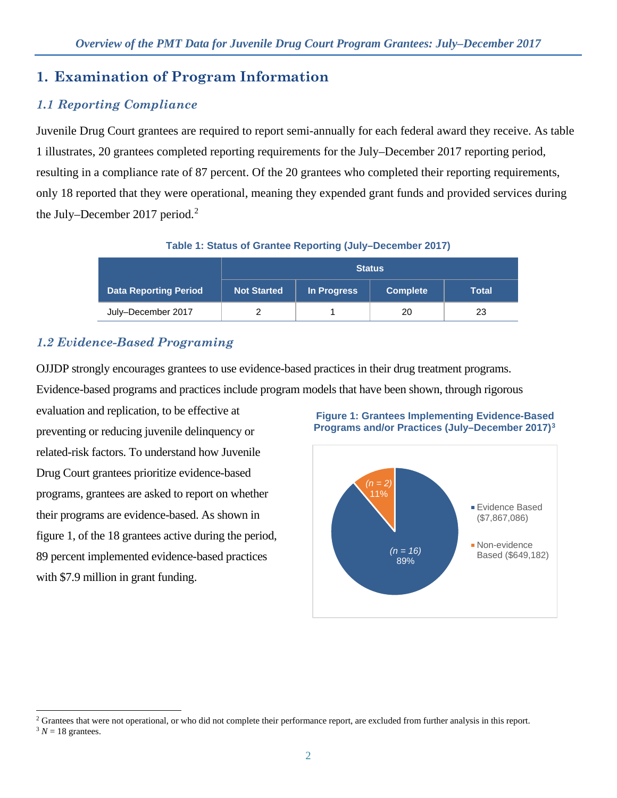# **1. Examination of Program Information**

## *1.1 Reporting Compliance*

Juvenile Drug Court grantees are required to report semi-annually for each federal award they receive. As table 1 illustrates, 20 grantees completed reporting requirements for the July–December 2017 reporting period, resulting in a compliance rate of 87 percent. Of the 20 grantees who completed their reporting requirements, only 18 reported that they were operational, meaning they expended grant funds and provided services during the July–December [2](#page-1-0)017 period.<sup>2</sup>

**Table 1: Status of Grantee Reporting (July–December 2017)** 

|                              | <b>Status</b>      |             |                 |       |
|------------------------------|--------------------|-------------|-----------------|-------|
| <b>Data Reporting Period</b> | <b>Not Started</b> | In Progress | <b>Complete</b> | Total |
| July-December 2017           |                    |             | 20              | 23    |

## *1.2 Evidence-Based Programing*

OJJDP strongly encourages grantees to use evidence-based practices in their drug treatment programs.

Evidence-based programs and practices include program models that have been shown, through rigorous

evaluation and replication, to be effective at preventing or reducing juvenile delinquency or related-risk factors. To understand how Juvenile Drug Court grantees prioritize evidence-based programs, grantees are asked to report on whether their programs are evidence-based. As shown in figure 1, of the 18 grantees active during the period, 89 percent implemented evidence-based practices with \$7.9 million in grant funding.





 $\overline{a}$ 

<span id="page-1-1"></span><span id="page-1-0"></span><sup>&</sup>lt;sup>2</sup> Grantees that were not operational, or who did not complete their performance report, are excluded from further analysis in this report.  $3 N = 18$  grantees.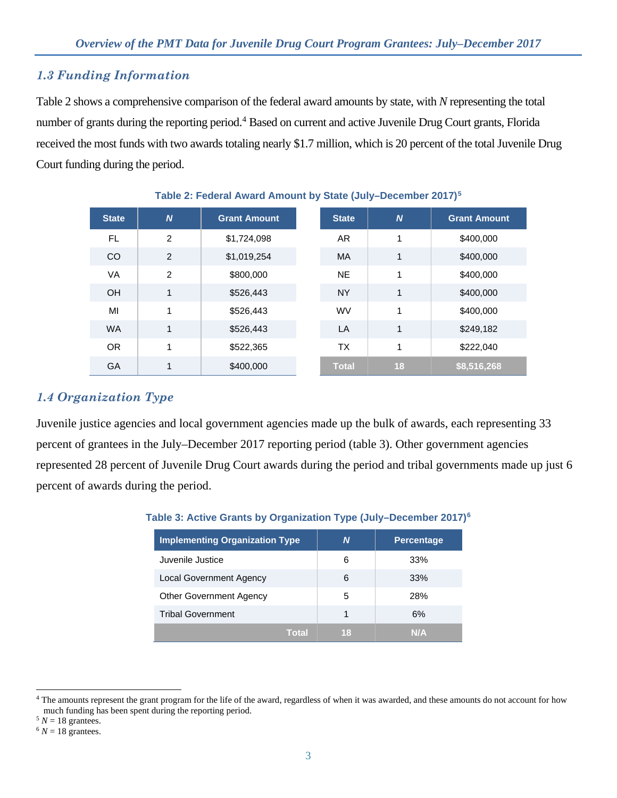### *1.3 Funding Information*

Table 2 shows a comprehensive comparison of the federal award amounts by state, with *N* representing the total number of grants during the reporting period.<sup>[4](#page-2-0)</sup> Based on current and active Juvenile Drug Court grants, Florida received the most funds with two awards totaling nearly \$1.7 million, which is 20 percent of the total Juvenile Drug Court funding during the period.

| <b>State</b> | $\overline{N}$ | <b>Grant Amount</b> | <b>State</b> | $\boldsymbol{N}$ | <b>Grant Amount</b> |
|--------------|----------------|---------------------|--------------|------------------|---------------------|
| <b>FL</b>    | $\overline{2}$ | \$1,724,098         | AR.          | 1                | \$400,000           |
| <b>CO</b>    | 2              | \$1,019,254         | <b>MA</b>    | 1                | \$400,000           |
| <b>VA</b>    | 2              | \$800,000           | <b>NE</b>    | 1                | \$400,000           |
| OH           | $\mathbf 1$    | \$526,443           | <b>NY</b>    | 1                | \$400,000           |
| MI           | 1              | \$526,443           | <b>WV</b>    | 1                | \$400,000           |
| <b>WA</b>    | 1              | \$526,443           | LA           | 1                | \$249,182           |
| <b>OR</b>    | $\mathbf{1}$   | \$522,365           | <b>TX</b>    | 1                | \$222,040           |
| <b>GA</b>    | 4              | \$400,000           | Total        | 18               | \$8,516,268         |

**Table 2: Federal Award Amount by State (July–December 2017)[5](#page-2-1)**

#### *1.4 Organization Type*

Juvenile justice agencies and local government agencies made up the bulk of awards, each representing 33 percent of grantees in the July–December 2017 reporting period (table 3). Other government agencies represented 28 percent of Juvenile Drug Court awards during the period and tribal governments made up just 6 percent of awards during the period.

| <b>Implementing Organization Type</b> | N  | <b>Percentage</b> |
|---------------------------------------|----|-------------------|
| Juvenile Justice                      | 6  | 33%               |
| <b>Local Government Agency</b>        | 6  | 33%               |
| <b>Other Government Agency</b>        | 5  | 28%               |
| <b>Tribal Government</b>              | 1  | 6%                |
| Total                                 | 18 | NИA               |

<span id="page-2-0"></span> $\overline{a}$ <sup>4</sup> The amounts represent the grant program for the life of the award, regardless of when it was awarded, and these amounts do not account for how much funding has been spent during the reporting period.

<span id="page-2-1"></span> $5 N = 18$  grantees.

<span id="page-2-2"></span> $6 N = 18$  grantees.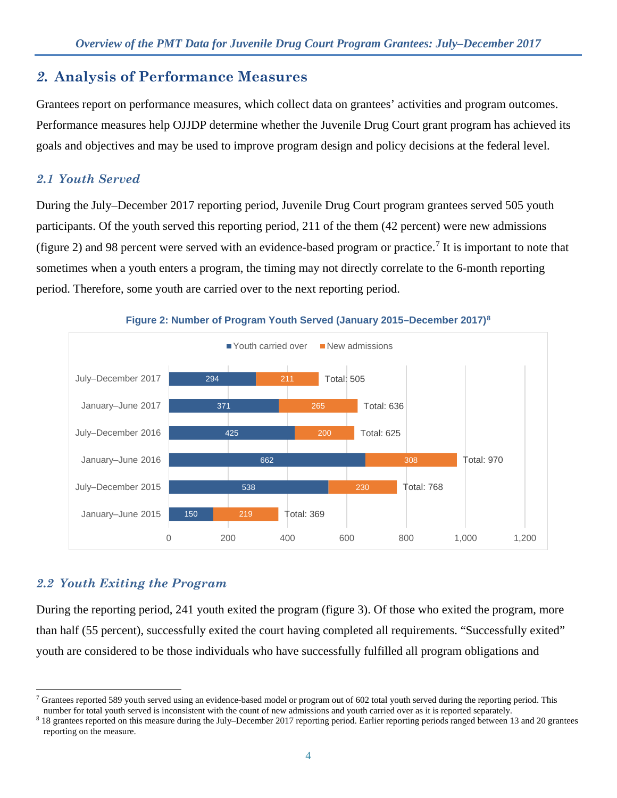# *2.* **Analysis of Performance Measures**

Grantees report on performance measures, which collect data on grantees' activities and program outcomes. Performance measures help OJJDP determine whether the Juvenile Drug Court grant program has achieved its goals and objectives and may be used to improve program design and policy decisions at the federal level.

## *2.1 Youth Served*

During the July–December 2017 reporting period, Juvenile Drug Court program grantees served 505 youth participants. Of the youth served this reporting period, 211 of the them (42 percent) were new admissions (figure 2) and 98 percent were served with an evidence-based program or practice.<sup>[7](#page-3-0)</sup> It is important to note that sometimes when a youth enters a program, the timing may not directly correlate to the 6-month reporting period. Therefore, some youth are carried over to the next reporting period.



**Figure 2: Number of Program Youth Served (January 2015–December 2017)[8](#page-3-1)**

# *2.2 Youth Exiting the Program*

During the reporting period, 241 youth exited the program (figure 3). Of those who exited the program, more than half (55 percent), successfully exited the court having completed all requirements. "Successfully exited" youth are considered to be those individuals who have successfully fulfilled all program obligations and

<span id="page-3-0"></span> $\overline{a}$ <sup>7</sup> Grantees reported 589 youth served using an evidence-based model or program out of 602 total youth served during the reporting period. This

<span id="page-3-1"></span>number for total youth served is inconsistent with the count of new admissions and youth carried over as it is reported separately.<br><sup>8</sup> 18 grantees reported on this measure during the July–December 2017 reporting period. E reporting on the measure.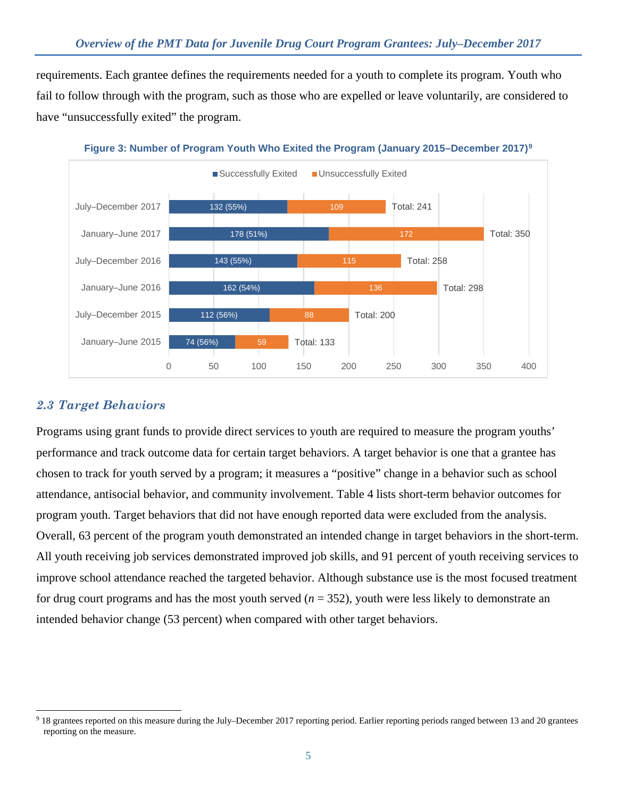requirements. Each grantee defines the requirements needed for a youth to complete its program. Youth who fail to follow through with the program, such as those who are expelled or leave voluntarily, are considered to have "unsuccessfully exited" the program.





### *2.3 Target Behaviors*

Programs using grant funds to provide direct services to youth are required to measure the program youths' performance and track outcome data for certain target behaviors. A target behavior is one that a grantee has chosen to track for youth served by a program; it measures a "positive" change in a behavior such as school attendance, antisocial behavior, and community involvement. Table 4 lists short-term behavior outcomes for program youth. Target behaviors that did not have enough reported data were excluded from the analysis. Overall, 63 percent of the program youth demonstrated an intended change in target behaviors in the short-term. All youth receiving job services demonstrated improved job skills, and 91 percent of youth receiving services to improve school attendance reached the targeted behavior. Although substance use is the most focused treatment for drug court programs and has the most youth served  $(n = 352)$ , youth were less likely to demonstrate an intended behavior change (53 percent) when compared with other target behaviors.

<span id="page-4-0"></span> $\overline{a}$ <sup>9</sup> 18 grantees reported on this measure during the July–December 2017 reporting period. Earlier reporting periods ranged between 13 and 20 grantees reporting on the measure.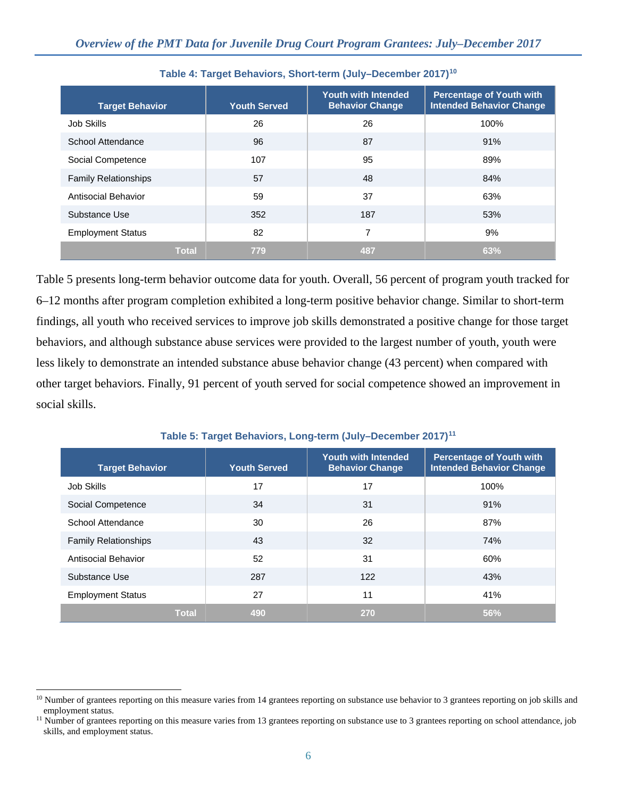| <b>Target Behavior</b>      | <b>Youth Served</b> | <b>Youth with Intended</b><br><b>Behavior Change</b> | <b>Percentage of Youth with</b><br><b>Intended Behavior Change</b> |
|-----------------------------|---------------------|------------------------------------------------------|--------------------------------------------------------------------|
| Job Skills                  | 26                  | 26                                                   | 100%                                                               |
| School Attendance           | 96                  | 87                                                   | 91%                                                                |
| Social Competence           | 107                 | 95                                                   | 89%                                                                |
| <b>Family Relationships</b> | 57                  | 48                                                   | 84%                                                                |
| Antisocial Behavior         | 59                  | 37                                                   | 63%                                                                |
| Substance Use               | 352                 | 187                                                  | 53%                                                                |
| <b>Employment Status</b>    | 82                  | 7                                                    | 9%                                                                 |
| <b>Total</b>                | 779                 | 487                                                  | 63%                                                                |

#### **Table 4: Target Behaviors, Short-term (July–December 2017)[10](#page-5-0)**

Table 5 presents long-term behavior outcome data for youth. Overall, 56 percent of program youth tracked for 6–12 months after program completion exhibited a long-term positive behavior change. Similar to short-term findings, all youth who received services to improve job skills demonstrated a positive change for those target behaviors, and although substance abuse services were provided to the largest number of youth, youth were less likely to demonstrate an intended substance abuse behavior change (43 percent) when compared with other target behaviors. Finally, 91 percent of youth served for social competence showed an improvement in social skills.

#### **Table 5: Target Behaviors, Long-term (July–December 2017)[11](#page-5-1)**

| <b>Target Behavior</b>      | <b>Youth Served</b> | <b>Youth with Intended</b><br><b>Behavior Change</b> | <b>Percentage of Youth with</b><br><b>Intended Behavior Change</b> |
|-----------------------------|---------------------|------------------------------------------------------|--------------------------------------------------------------------|
| Job Skills                  | 17                  | 17                                                   | 100%                                                               |
| Social Competence           | 34                  | 31                                                   | 91%                                                                |
| School Attendance           | 30                  | 26                                                   | 87%                                                                |
| <b>Family Relationships</b> | 43                  | 32                                                   | 74%                                                                |
| Antisocial Behavior         | 52                  | 31                                                   | 60%                                                                |
| Substance Use               | 287                 | 122                                                  | 43%                                                                |
| <b>Employment Status</b>    | 27                  | 11                                                   | 41%                                                                |
| <b>Total</b>                | 490                 | 270                                                  | 56%                                                                |

<span id="page-5-0"></span> $\overline{a}$  $10$  Number of grantees reporting on this measure varies from 14 grantees reporting on substance use behavior to 3 grantees reporting on job skills and employment status.

<span id="page-5-1"></span><sup>&</sup>lt;sup>11</sup> Number of grantees reporting on this measure varies from 13 grantees reporting on substance use to 3 grantees reporting on school attendance, job skills, and employment status.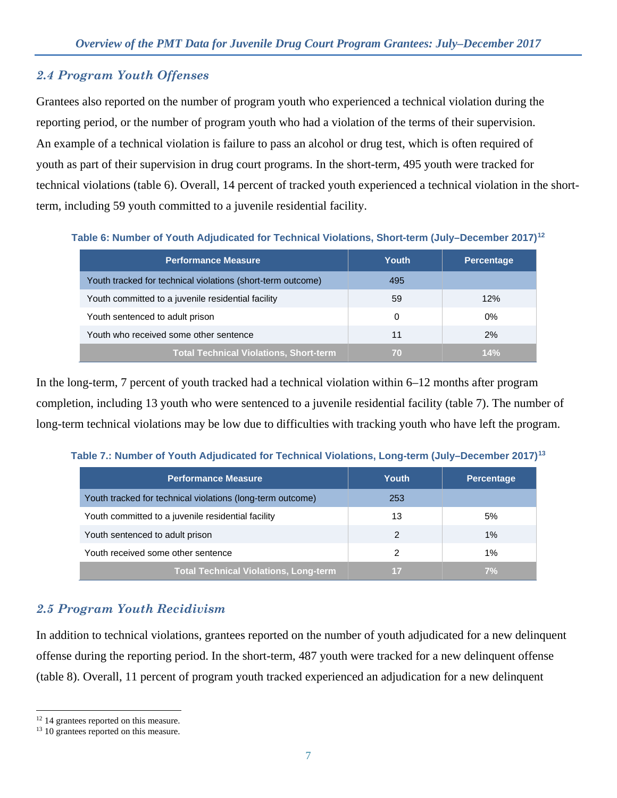### *2.4 Program Youth Offenses*

Grantees also reported on the number of program youth who experienced a technical violation during the reporting period, or the number of program youth who had a violation of the terms of their supervision. An example of a technical violation is failure to pass an alcohol or drug test, which is often required of youth as part of their supervision in drug court programs. In the short-term, 495 youth were tracked for technical violations (table 6). Overall, 14 percent of tracked youth experienced a technical violation in the shortterm, including 59 youth committed to a juvenile residential facility.

**Table 6: Number of Youth Adjudicated for Technical Violations, Short-term (July–December 2017)[12](#page-6-0)**

| <b>Performance Measure</b>                                  | <b>Youth</b> | Percentage |
|-------------------------------------------------------------|--------------|------------|
| Youth tracked for technical violations (short-term outcome) | 495          |            |
| Youth committed to a juvenile residential facility          | 59           | 12%        |
| Youth sentenced to adult prison                             | $\Omega$     | $0\%$      |
| Youth who received some other sentence                      | 11           | 2%         |
| Total Technical Violations, Short-term                      | 70           | 14%        |

In the long-term, 7 percent of youth tracked had a technical violation within 6–12 months after program completion, including 13 youth who were sentenced to a juvenile residential facility (table 7). The number of long-term technical violations may be low due to difficulties with tracking youth who have left the program.

| <b>Performance Measure</b>                                 | Youth | <b>Percentage</b> |
|------------------------------------------------------------|-------|-------------------|
| Youth tracked for technical violations (long-term outcome) | 253   |                   |
| Youth committed to a juvenile residential facility         | 13    | 5%                |
| Youth sentenced to adult prison                            | 2     | 1%                |
| Youth received some other sentence                         | 2     | 1%                |
| <b>Total Technical Violations, Long-term</b>               | i T   | 7%                |

**Table 7.: Number of Youth Adjudicated for Technical Violations, Long-term (July–December 2017)[13](#page-6-1)**

## *2.5 Program Youth Recidivism*

In addition to technical violations, grantees reported on the number of youth adjudicated for a new delinquent offense during the reporting period. In the short-term, 487 youth were tracked for a new delinquent offense (table 8). Overall, 11 percent of program youth tracked experienced an adjudication for a new delinquent

 $\overline{a}$ <sup>12</sup> 14 grantees reported on this measure.

<span id="page-6-1"></span><span id="page-6-0"></span><sup>&</sup>lt;sup>13</sup> 10 grantees reported on this measure.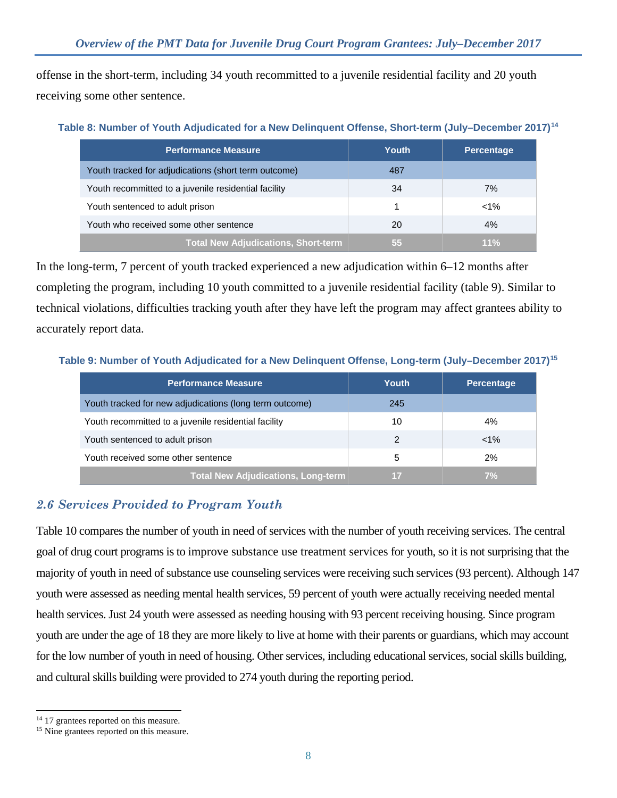offense in the short-term, including 34 youth recommitted to a juvenile residential facility and 20 youth receiving some other sentence.

| <b>Performance Measure</b>                           | Youth | <b>Percentage</b> |
|------------------------------------------------------|-------|-------------------|
| Youth tracked for adjudications (short term outcome) | 487   |                   |
| Youth recommitted to a juvenile residential facility | 34    | 7%                |
| Youth sentenced to adult prison                      |       | $< 1\%$           |
| Youth who received some other sentence               | 20    | $4\%$             |
| <b>Total New Adjudications, Short-term</b>           | 55    | $11\%$            |

In the long-term, 7 percent of youth tracked experienced a new adjudication within 6–12 months after completing the program, including 10 youth committed to a juvenile residential facility (table 9). Similar to technical violations, difficulties tracking youth after they have left the program may affect grantees ability to accurately report data.

| <b>Performance Measure</b>                              | Youth | <b>Percentage</b> |
|---------------------------------------------------------|-------|-------------------|
| Youth tracked for new adjudications (long term outcome) | 245   |                   |
| Youth recommitted to a juvenile residential facility    | 10    | 4%                |
| Youth sentenced to adult prison                         | 2     | $< 1\%$           |
| Youth received some other sentence                      | 5     | 2%                |
| <b>Total New Adjudications, Long-term</b>               | 17    |                   |

#### **Table 9: Number of Youth Adjudicated for a New Delinquent Offense, Long-term (July–December 2017)[15](#page-7-1)**

### *2.6 Services Provided to Program Youth*

Table 10 compares the number of youth in need of services with the number of youth receiving services. The central goal of drug court programs is to improve substance use treatment services for youth, so it is not surprising that the majority of youth in need of substance use counseling services were receiving such services (93 percent). Although 147 youth were assessed as needing mental health services, 59 percent of youth were actually receiving needed mental health services. Just 24 youth were assessed as needing housing with 93 percent receiving housing. Since program youth are under the age of 18 they are more likely to live at home with their parents or guardians, which may account for the low number of youth in need of housing. Other services, including educational services, social skills building, and cultural skills building were provided to 274 youth during the reporting period.

 $\overline{a}$ 

<span id="page-7-0"></span><sup>&</sup>lt;sup>14</sup> 17 grantees reported on this measure.

<span id="page-7-1"></span><sup>&</sup>lt;sup>15</sup> Nine grantees reported on this measure.